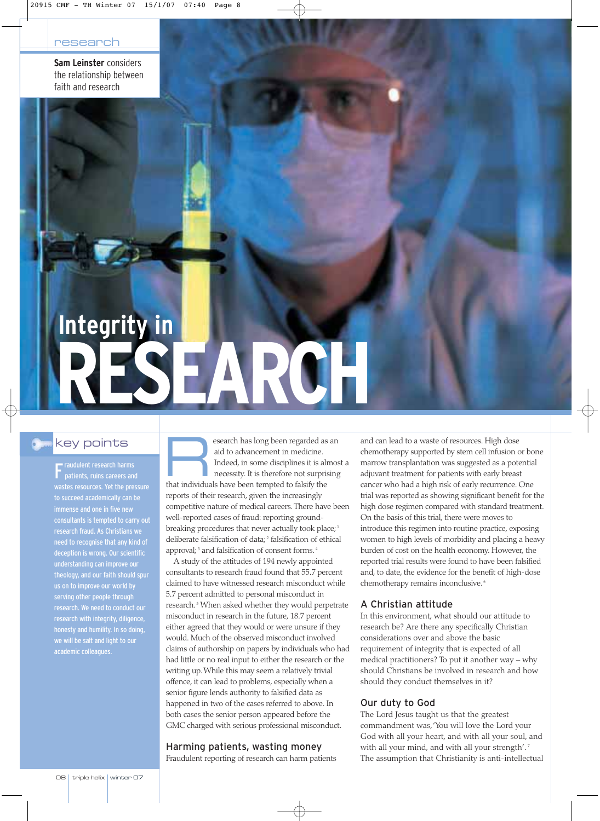**Sam Leinster** considers the relationship between faith and research

# **RESEARCH Integrity in**

# key points

**F** raudulent research harms<br>patients, ruins careers an patients, ruins careers and wastes resources. Yet the pressure to succeed academically can be immense and one in five new consultants is tempted to carry out research fraud. As Christians we need to recognise that any kind of deception is wrong. Our scientific understanding can improve our theology, and our faith should spur us on to improve our world by serving other people through research with integrity, diligence, honesty and humility. In so doing, we will be salt and light to our academic colleagues.

Expressed has long been regarded as an aid to advancement in medicine.<br>
Indeed, in some disciplines it is almos<br>
necessity. It is therefore not surprising<br>
that individuals have been termined to falsify the aid to advancement in medicine. Indeed, in some disciplines it is almost a that individuals have been tempted to falsify the reports of their research, given the increasingly competitive nature of medical careers.There have been well-reported cases of fraud: reporting groundbreaking procedures that never actually took place;<sup>1</sup> deliberate falsification of data;<sup>2</sup> falsification of ethical approval;<sup>3</sup> and falsification of consent forms.<sup>4</sup>

A study of the attitudes of 194 newly appointed consultants to research fraud found that 55.7 percent claimed to have witnessed research misconduct while 5.7 percent admitted to personal misconduct in research. <sup>5</sup> When asked whether they would perpetrate misconduct in research in the future, 18.7 percent either agreed that they would or were unsure if they would. Much of the observed misconduct involved claims of authorship on papers by individuals who had had little or no real input to either the research or the writing up. While this may seem a relatively trivial offence, it can lead to problems, especially when a senior figure lends authority to falsified data as happened in two of the cases referred to above. In both cases the senior person appeared before the GMC charged with serious professional misconduct.

### Harming patients, wasting money

Fraudulent reporting of research can harm patients

and can lead to a waste of resources. High dose chemotherapy supported by stem cell infusion or bone marrow transplantation was suggested as a potential adjuvant treatment for patients with early breast cancer who had a high risk of early recurrence. One trial was reported as showing significant benefit for the high dose regimen compared with standard treatment. On the basis of this trial, there were moves to introduce this regimen into routine practice, exposing women to high levels of morbidity and placing a heavy burden of cost on the health economy. However, the reported trial results were found to have been falsified and, to date, the evidence for the benefit of high-dose chemotherapy remains inconclusive. <sup>6</sup>

## A Christian attitude

In this environment, what should our attitude to research be? Are there any specifically Christian considerations over and above the basic requirement of integrity that is expected of all medical practitioners? To put it another way – why should Christians be involved in research and how should they conduct themselves in it?

### Our duty to God

The Lord Jesus taught us that the greatest commandment was,'You will love the Lord your God with all your heart, and with all your soul, and with all your mind, and with all your strength'.<sup>7</sup> The assumption that Christianity is anti-intellectual